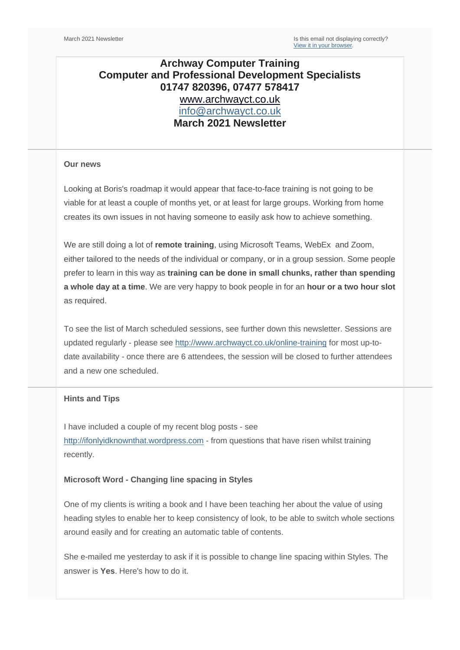# **Archway Computer Training Computer and Professional Development Specialists 01747 820396, 07477 578417** [www.archwayct.co.uk](http://www.archwayct.co.uk/) [info@archwayct.co.uk](mailto:%20info@archwayct.co.uk) **March 2021 Newsletter**

#### **Our news**

Looking at Boris's roadmap it would appear that face-to-face training is not going to be viable for at least a couple of months yet, or at least for large groups. Working from home creates its own issues in not having someone to easily ask how to achieve something.

We are still doing a lot of **remote training**, using Microsoft Teams, WebEx and Zoom, either tailored to the needs of the individual or company, or in a group session. Some people prefer to learn in this way as **training can be done in small chunks, rather than spending a whole day at a time**. We are very happy to book people in for an **hour or a two hour slot** as required.

To see the list of March scheduled sessions, see further down this newsletter. Sessions are updated regularly - please see<http://www.archwayct.co.uk/online-training> for most up-todate availability - once there are 6 attendees, the session will be closed to further attendees and a new one scheduled.

## **Hints and Tips**

I have included a couple of my recent blog posts - see [http://ifonlyidknownthat.wordpress.com](http://ifonlyidknownthat.wordpress.com/) - from questions that have risen whilst training recently.

## **Microsoft Word - Changing line spacing in Styles**

One of my clients is writing a book and I have been teaching her about the value of using heading styles to enable her to keep consistency of look, to be able to switch whole sections around easily and for creating an automatic table of contents.

She e-mailed me yesterday to ask if it is possible to change line spacing within Styles. The answer is **Yes**. Here's how to do it.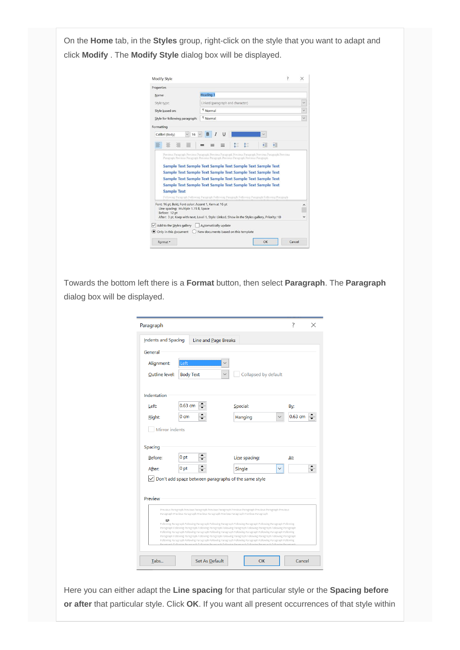On the **Home** tab, in the **Styles** group, right-click on the style that you want to adapt and click **Modify** . The **Modify Style** dialog box will be displayed.

| Properties                                                                                                                                                                                                                                                      |                                  |          |              |
|-----------------------------------------------------------------------------------------------------------------------------------------------------------------------------------------------------------------------------------------------------------------|----------------------------------|----------|--------------|
| Name:                                                                                                                                                                                                                                                           | Heading 1                        |          |              |
| Style type:                                                                                                                                                                                                                                                     | Linked (paragraph and character) |          | $\checkmark$ |
| Style based on:                                                                                                                                                                                                                                                 | <b>Normal</b>                    |          | $\checkmark$ |
| Style for following paragraph:                                                                                                                                                                                                                                  | <sup>T</sup> Normal              |          | v            |
| Formatting                                                                                                                                                                                                                                                      |                                  |          |              |
|                                                                                                                                                                                                                                                                 |                                  |          |              |
| Calibri (Body)<br>16                                                                                                                                                                                                                                            | U<br>в                           |          |              |
|                                                                                                                                                                                                                                                                 |                                  |          |              |
|                                                                                                                                                                                                                                                                 |                                  |          |              |
| Previous Paragraph Previous Paragraph Previous Paragraph Previous Paragraph Previous Paragraph Previous<br>Paragraph Previous Paragraph Previous Paragraph Previous Paragraph Previous Paragraph<br>Sample Text Sample Text Sample Text Sample Text Sample Text |                                  | →三<br>€⊟ |              |
| Sample Text Sample Text Sample Text Sample Text Sample Text                                                                                                                                                                                                     |                                  |          |              |
| Sample Text Sample Text Sample Text Sample Text Sample Text                                                                                                                                                                                                     |                                  |          |              |
| Sample Text Sample Text Sample Text Sample Text Sample Text                                                                                                                                                                                                     |                                  |          |              |
| <b>Sample Text</b>                                                                                                                                                                                                                                              |                                  |          |              |
| Following Paragraph Following Paragraph Following Paragraph Following Paragraph Following Paragraph                                                                                                                                                             |                                  |          |              |
| Font: 16 pt, Bold, Font color: Accent 1, Kern at 16 pt<br>Line spacing: Multiple 1.15 li, Space                                                                                                                                                                 |                                  |          |              |
| Before: 12 pt                                                                                                                                                                                                                                                   |                                  |          |              |
| After: 3 pt, Keep with next, Level 1, Style: Linked, Show in the Styles gallery, Priority: 10                                                                                                                                                                   |                                  |          |              |
| $\vee$ Add to the Styles gallery                                                                                                                                                                                                                                | Automatically update             |          |              |

Towards the bottom left there is a **Format** button, then select **Paragraph**. The **Paragraph**  dialog box will be displayed.

| Paragraph           |                                                                                       |                                                                                                                                                                                                                                | 7            |
|---------------------|---------------------------------------------------------------------------------------|--------------------------------------------------------------------------------------------------------------------------------------------------------------------------------------------------------------------------------|--------------|
| Indents and Spacing | Line and Page Breaks                                                                  |                                                                                                                                                                                                                                |              |
| General             |                                                                                       |                                                                                                                                                                                                                                |              |
| Alignment:          | Left                                                                                  |                                                                                                                                                                                                                                |              |
| Outline level:      | <b>Body Text</b>                                                                      | Collapsed by default                                                                                                                                                                                                           |              |
| Indentation         |                                                                                       |                                                                                                                                                                                                                                |              |
| Left:               | ▴<br>$0.63$ cm                                                                        | Special:                                                                                                                                                                                                                       | By:          |
| Right:              | 0 <sub>cm</sub>                                                                       | Hanging                                                                                                                                                                                                                        | 0.63 cm      |
| Mirror indents      |                                                                                       |                                                                                                                                                                                                                                |              |
|                     |                                                                                       |                                                                                                                                                                                                                                |              |
| Spacing             |                                                                                       |                                                                                                                                                                                                                                |              |
| Before:             | ▲<br>0 <sub>pt</sub><br>▼                                                             | Line spacing:                                                                                                                                                                                                                  | <u>Αt:</u>   |
| After:              | 0 <sub>pt</sub><br>$\overline{\phantom{0}}$                                           | Single                                                                                                                                                                                                                         | $\checkmark$ |
|                     | $ $ Don't add space between paragraphs of the same style                              |                                                                                                                                                                                                                                |              |
|                     |                                                                                       |                                                                                                                                                                                                                                |              |
| Preview             |                                                                                       |                                                                                                                                                                                                                                |              |
|                     | Paragraph Previous Paragraph Previous Paragraph Previous Paragraph Previous Paragraph | Previous Paragraph Previous Paragraph Previous Paragraph Previous Paragraph Previous Paragraph Previous                                                                                                                        |              |
| Jiija               |                                                                                       | Following Paragraph Following Paragraph Following Paragraph Following Paragraph Following Paragraph Following                                                                                                                  |              |
|                     |                                                                                       | Paragraph Following Paragraph Following Paragraph Following Paragraph Following Paragraph Following Paragraph<br>Following Paragraph Following Paragraph Following Paragraph Following Paragraph Following Paragraph Following |              |
|                     |                                                                                       | Paragraph Following Paragraph Following Paragraph Following Paragraph Following Paragraph Following Paragraph<br>Following Paragraph Following Paragraph Following Paragraph Following Paragraph Following Paragraph Following |              |
|                     |                                                                                       |                                                                                                                                                                                                                                |              |
| Tabs                | Set As Default                                                                        | OK                                                                                                                                                                                                                             | Cancel       |

Here you can either adapt the **Line spacing** for that particular style or the **Spacing before or after** that particular style. Click **OK**. If you want all present occurrences of that style within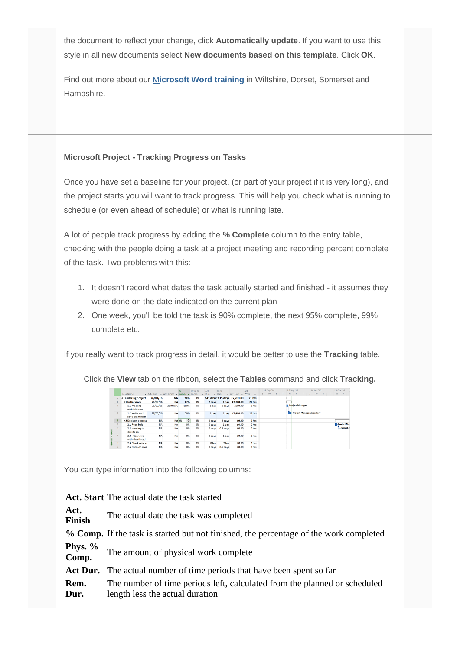the document to reflect your change, click **Automatically update**. If you want to use this style in all new documents select **New documents based on this template**. Click **OK**.

Find out more about our [M](http://www.archwayct.co.uk/microsoft-office-training/microsoft-word-training)**[icrosoft Word training](http://www.archwayct.co.uk/microsoft-office-training/microsoft-word-training)** in Wiltshire, Dorset, Somerset and Hampshire.

## **Microsoft Project - Tracking Progress on Tasks**

Once you have set a baseline for your project, (or part of your project if it is very long), and the project starts you will want to track progress. This will help you check what is running to schedule (or even ahead of schedule) or what is running late.

A lot of people track progress by adding the **% Complete** column to the entry table, checking with the people doing a task at a project meeting and recording percent complete of the task. Two problems with this:

- 1. It doesn't record what dates the task actually started and finished it assumes they were done on the date indicated on the current plan
- 2. One week, you'll be told the task is 90% complete, the next 95% complete, 99% complete etc.

If you really want to track progress in detail, it would be better to use the **Tracking** table.

Click the **View** tab on the ribbon, select the **Tables** command and click **Tracking.**

|              |          | Task Name                          | Act. Start - Act. Finish - Comp. - Comp. |              |                 | Phys. % | Act.<br>$-$ Dur.<br>$\overline{\phantom{a}}$ | Rem.<br>Dur. | - Act. Cost - Work             | Act.   | 12 Sep '16<br>W | 26 Sep '16<br>M           | 10 Oct '16<br>W                   | 24 Oct '16<br>M   |
|--------------|----------|------------------------------------|------------------------------------------|--------------|-----------------|---------|----------------------------------------------|--------------|--------------------------------|--------|-----------------|---------------------------|-----------------------------------|-------------------|
|              | $\Omega$ | <b>4 Tendering project</b>         | 26/09/16                                 | <b>NA</b>    | 24%             | 0%      |                                              |              | 7.41 days !3.15 days £2,200.00 | 21 hrs |                 |                           |                                   |                   |
|              |          | 41 Initial Work                    | 26/09/16                                 | <b>NA</b>    | 67%             | 0%      | 2 days                                       | 1 day        | £2,200.00                      | 21 hrs |                 |                           |                                   |                   |
|              |          | 1.1 Meeting<br>with Minister       | 26/09/16                                 | 26/09/16     | 100%            | 0%      | 1 day                                        | 0 days       | £800.00                        | 8 hrs  |                 | <b>E. Project Manager</b> |                                   |                   |
|              |          | 1.2 Write and<br>send out tender   | 27/09/16                                 | <b>NA</b>    | 50%             | 0%      | 1 day                                        | 1 day        | £1,400.00                      | 13 hrs |                 |                           | <b>Project Manager, Secretary</b> |                   |
|              | А        | 42 Decision process                | <b>NA</b>                                | <b>NA 0%</b> | ю               | 0%      | 0 days                                       | 9 days       | £0.00                          | 0 hrs  |                 |                           |                                   |                   |
|              |          | 2.1 Read bids                      | <b>NA</b>                                | <b>NA</b>    | 0%              | 0%      | 0 days                                       | 1 day        | £0.00                          | 0 hrs  |                 |                           |                                   | <b>Project Ma</b> |
| CHART        | ъ        | 2.2 meeting to<br>decide on        | <b>NA</b>                                | <b>NA</b>    | 0%              | 0%      | 0 days                                       | 0.5 days     | £0.00                          | 0 hrs  |                 |                           |                                   | Project !         |
| <b>GANTT</b> |          | 2.3 Interviews<br>with shortlisted | <b>NA</b>                                | NA           | O <sub>25</sub> | 0%      | 0 days                                       | 1 day        | £0.00                          | 0 hrs  |                 |                           |                                   |                   |
|              | 8        | 2.4 Check referer                  | <b>NA</b>                                | <b>NA</b>    | 0%              | 0%      | 0 hrs                                        | 2 hrs        | £0.00                          | 0 hrs  |                 |                           |                                   |                   |
|              | $\circ$  | 2.5 Decision mee                   | <b>NA</b>                                | <b>NA</b>    | 0%              | 0%      | 0 days                                       | 0.5 days     | £0.00                          | 0 hrs  |                 |                           |                                   |                   |

You can type information into the following columns:

**Act. Start** The actual date the task started

| Act.<br>Finish     | The actual date the task was completed                                                                       |
|--------------------|--------------------------------------------------------------------------------------------------------------|
|                    | % Comp. If the task is started but not finished, the percentage of the work completed                        |
| Phys. $%$<br>Comp. | The amount of physical work complete                                                                         |
|                    | Act Dur. The actual number of time periods that have been spent so far                                       |
| Rem.<br>Dur.       | The number of time periods left, calculated from the planned or scheduled<br>length less the actual duration |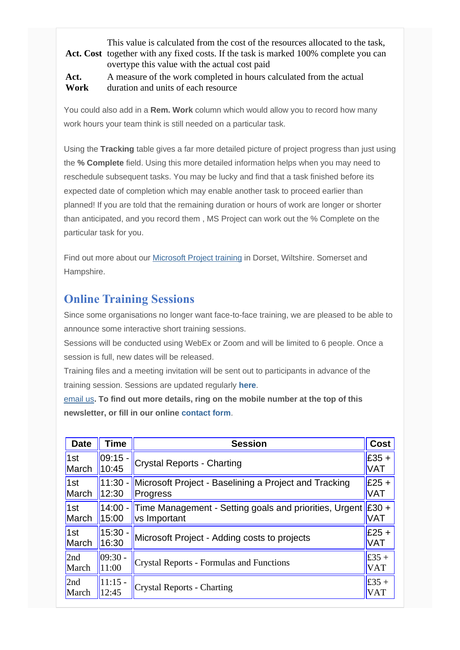# Act. Cost together with any fixed costs. If the task is marked 100% complete you can This value is calculated from the cost of the resources allocated to the task, overtype this value with the actual cost paid

**Act. Work** A measure of the work completed in hours calculated from the actual duration and units of each resource

You could also add in a **Rem. Work** column which would allow you to record how many work hours your team think is still needed on a particular task.

Using the **Tracking** table gives a far more detailed picture of project progress than just using the **% Complete** field. Using this more detailed information helps when you may need to reschedule subsequent tasks. You may be lucky and find that a task finished before its expected date of completion which may enable another task to proceed earlier than planned! If you are told that the remaining duration or hours of work are longer or shorter than anticipated, and you record them , MS Project can work out the % Complete on the particular task for you.

Find out more about our [Microsoft Project training](http://www.archwayct.co.uk/it-training/microsoft-project-training) in Dorset, Wiltshire. Somerset and Hampshire.

# **Online Training Sessions**

Since some organisations no longer want face-to-face training, we are pleased to be able to announce some interactive short training sessions.

Sessions will be conducted using WebEx or Zoom and will be limited to 6 people. Once a session is full, new dates will be released.

Training files and a meeting invitation will be sent out to participants in advance of the training session. Sessions are updated regularly **[here](http://www.archwayct.co.uk/online-training)**.

[email us](mailto:jdonbavand@btinternet.com?subject=Online%20training)**. To find out more details, ring on the mobile number at the top of this newsletter, or fill in our online [contact form](http://www.archwayct.co.uk/contact)**.

| <b>Date</b> | Time       | <b>Session</b>                                                 | <b>Cost</b>    |
|-------------|------------|----------------------------------------------------------------|----------------|
| 1st         | 09:15 -    | <b>Crystal Reports - Charting</b>                              | $E35 +$        |
| March       | 10:45      |                                                                | VAT            |
| 1st         | $11:30 -$  | Microsoft Project - Baselining a Project and Tracking          | $E25 +$        |
| March       | 12:30      | Progress                                                       | VAT            |
| 1st         | 15:00      | 14:00 - Time Management - Setting goals and priorities, Urgent | $E30 +$        |
| March       |            | vs Important                                                   | VAT            |
| 1st         | $15:30 -$  | Microsoft Project - Adding costs to projects                   | $E25 +$        |
| March       | 16:30      |                                                                | VAT            |
| 2nd         | $ 09:30 -$ | <b>Crystal Reports - Formulas and Functions</b>                | £35 +          |
| March       | 11:00      |                                                                | <b>VAT</b>     |
| 2nd         | $11:15 -$  | <b>Crystal Reports - Charting</b>                              | $\pounds 35 +$ |
| March       | 12:45      |                                                                | <b>VAT</b>     |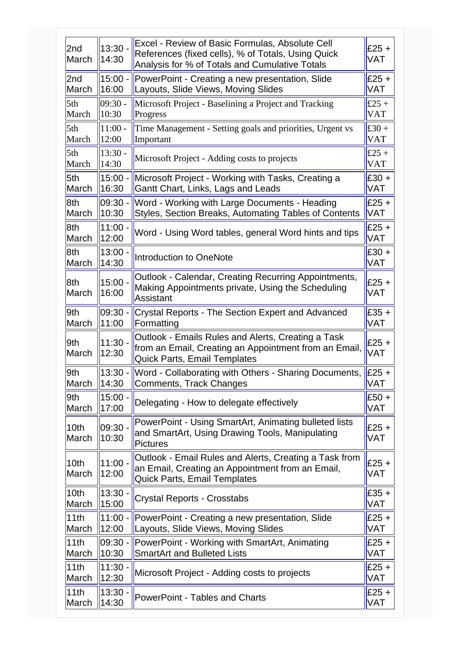| $13:30 -$<br>14:30 | Excel - Review of Basic Formulas, Absolute Cell<br>References (fixed cells), % of Totals, Using Quick<br>Analysis for % of Totals and Cumulative Totals | £25 $+$<br>VAT                                        |
|--------------------|---------------------------------------------------------------------------------------------------------------------------------------------------------|-------------------------------------------------------|
| $15:00 -$<br>16:00 | PowerPoint - Creating a new presentation, Slide<br>Layouts, Slide Views, Moving Slides                                                                  | £25 $+$<br>VAT                                        |
| $09:30 -$<br>10:30 | Microsoft Project - Baselining a Project and Tracking<br>Progress                                                                                       | £25 +<br>VAT                                          |
| $11:00 -$<br>12:00 | Time Management - Setting goals and priorities, Urgent vs<br>Important                                                                                  | £30 +<br><b>VAT</b>                                   |
| $13:30 -$<br>14:30 | Microsoft Project - Adding costs to projects                                                                                                            | £25 +<br>VAT                                          |
| $15:00 -$<br>16:30 | Microsoft Project - Working with Tasks, Creating a<br>Gantt Chart, Links, Lags and Leads                                                                | $£30 +$<br>VAT                                        |
| $09:30 -$<br>10:30 | Word - Working with Large Documents - Heading<br>Styles, Section Breaks, Automating Tables of Contents                                                  | £25 $+$<br>VAT                                        |
| 11:00.<br>12:00    | Word - Using Word tables, general Word hints and tips                                                                                                   | £25 $+$<br>VAT                                        |
| $13:00 -$<br>14:30 | Introduction to OneNote                                                                                                                                 | $£30 +$<br>VAT                                        |
| $15:00 -$<br>16:00 | Outlook - Calendar, Creating Recurring Appointments,<br>Making Appointments private, Using the Scheduling<br><b>Assistant</b>                           | £25 $+$<br>VAT                                        |
| $09:30 -$<br>11:00 | <b>Crystal Reports - The Section Expert and Advanced</b><br>Formatting                                                                                  | $£35 +$<br>VAT                                        |
| $11:30 -$<br>12:30 | Outlook - Emails Rules and Alerts, Creating a Task<br>from an Email, Creating an Appointment from an Email,<br><b>Quick Parts, Email Templates</b>      | £25 $+$<br>VAT                                        |
| $13:30 -$<br>14:30 | Comments, Track Changes                                                                                                                                 | £25 $+$<br>VAT                                        |
| $15:00 -$<br>17:00 | Delegating - How to delegate effectively                                                                                                                | $£50 +$<br>VAT                                        |
| $09:30 -$<br>10:30 | PowerPoint - Using SmartArt, Animating bulleted lists<br>and SmartArt, Using Drawing Tools, Manipulating<br><b>Pictures</b>                             | $£25 +$<br>VAT                                        |
| $11:00 -$<br>12:00 | Outlook - Email Rules and Alerts, Creating a Task from<br>an Email, Creating an Appointment from an Email,<br><b>Quick Parts, Email Templates</b>       | $£25 +$<br>VAT                                        |
| $13:30 -$<br>15:00 | <b>Crystal Reports - Crosstabs</b>                                                                                                                      | $£35 +$<br>VAT                                        |
| $11:00 -$<br>12:00 | PowerPoint - Creating a new presentation, Slide<br>Layouts, Slide Views, Moving Slides                                                                  | £25 +<br>VAT                                          |
| $09:30 -$<br>10:30 | PowerPoint - Working with SmartArt, Animating<br><b>SmartArt and Bulleted Lists</b>                                                                     | $£25 +$<br>VAT                                        |
|                    |                                                                                                                                                         | $£25 +$                                               |
| 12:30              | Microsoft Project - Adding costs to projects                                                                                                            | VAT                                                   |
|                    | 11:30.                                                                                                                                                  | Word - Collaborating with Others - Sharing Documents, |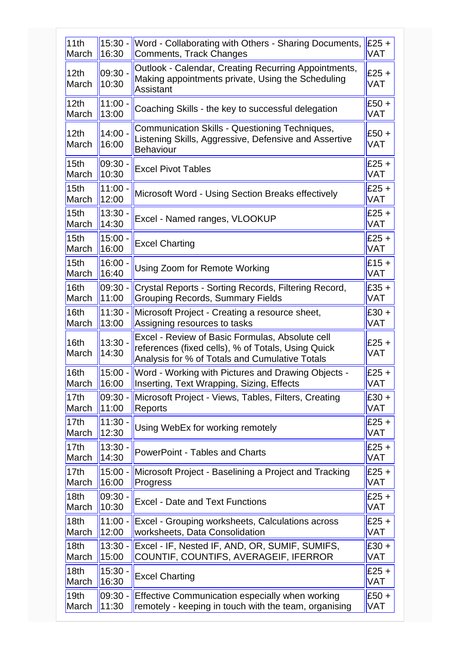| 15:30 -<br>16:30   | Word - Collaborating with Others - Sharing Documents,<br>Comments, Track Changes                                                                        | $£25 +$<br><b>VAT</b>                                                                                                                                               |
|--------------------|---------------------------------------------------------------------------------------------------------------------------------------------------------|---------------------------------------------------------------------------------------------------------------------------------------------------------------------|
| $09:30 -$<br>10:30 | Outlook - Calendar, Creating Recurring Appointments,<br>Making appointments private, Using the Scheduling<br><b>Assistant</b>                           | $£25 +$<br><b>VAT</b>                                                                                                                                               |
| $11:00 -$<br>13:00 | Coaching Skills - the key to successful delegation                                                                                                      | $£50 +$<br><b>VAT</b>                                                                                                                                               |
| $14:00 -$<br>16:00 | <b>Communication Skills - Questioning Techniques,</b><br>Listening Skills, Aggressive, Defensive and Assertive<br><b>Behaviour</b>                      | $£50 +$<br><b>VAT</b>                                                                                                                                               |
| 09:30.<br>10:30    | <b>Excel Pivot Tables</b>                                                                                                                               | $£25 +$<br><b>VAT</b>                                                                                                                                               |
| 11:00.<br>12:00    | Microsoft Word - Using Section Breaks effectively                                                                                                       | $£25 +$<br>VAT                                                                                                                                                      |
| $13:30 -$<br>14:30 | Excel - Named ranges, VLOOKUP                                                                                                                           | $£25 +$<br><b>VAT</b>                                                                                                                                               |
| 15:00<br>16:00     | <b>Excel Charting</b>                                                                                                                                   | $£25 +$<br><b>VAT</b>                                                                                                                                               |
| 16:00.<br>16:40    | Using Zoom for Remote Working                                                                                                                           | $£15 +$<br><b>VAT</b>                                                                                                                                               |
| $09:30 -$<br>11:00 | Crystal Reports - Sorting Records, Filtering Record,<br><b>Grouping Records, Summary Fields</b>                                                         | $£35 +$<br><b>VAT</b>                                                                                                                                               |
| 11:30 -<br>13:00   | Microsoft Project - Creating a resource sheet,<br>Assigning resources to tasks                                                                          | $£30 +$<br><b>VAT</b>                                                                                                                                               |
| $13:30 -$<br>14:30 | Excel - Review of Basic Formulas, Absolute cell<br>references (fixed cells), % of Totals, Using Quick<br>Analysis for % of Totals and Cumulative Totals | $£25 +$<br><b>VAT</b>                                                                                                                                               |
| $15:00 -$<br>16:00 | Inserting, Text Wrapping, Sizing, Effects                                                                                                               | $£25 +$<br><b>VAT</b>                                                                                                                                               |
| $09:30 -$<br>11:00 | Reports                                                                                                                                                 | $£30 +$<br><b>VAT</b>                                                                                                                                               |
| 11:30 -<br>12:30   | Using WebEx for working remotely                                                                                                                        | $£25 +$<br><b>VAT</b>                                                                                                                                               |
| $13:30 -$<br>14:30 | <b>PowerPoint - Tables and Charts</b>                                                                                                                   | $£25 +$<br><b>VAT</b>                                                                                                                                               |
| $15:00 -$<br>16:00 | Progress                                                                                                                                                | $£25 +$<br><b>VAT</b>                                                                                                                                               |
| $09:30 -$<br>10:30 | <b>Excel - Date and Text Functions</b>                                                                                                                  | $£25 +$<br><b>VAT</b>                                                                                                                                               |
| $11:00 -$<br>12:00 | Excel - Grouping worksheets, Calculations across<br>worksheets, Data Consolidation                                                                      | $£25 +$<br><b>VAT</b>                                                                                                                                               |
| $13:30 -$<br>15:00 | Excel - IF, Nested IF, AND, OR, SUMIF, SUMIFS,<br>COUNTIF, COUNTIFS, AVERAGEIF, IFERROR                                                                 | $£30 +$<br><b>VAT</b>                                                                                                                                               |
| 15:30 -<br>16:30   | <b>Excel Charting</b>                                                                                                                                   | $£25 +$<br><b>VAT</b>                                                                                                                                               |
| 09:30 -<br>11:30   | Effective Communication especially when working<br>remotely - keeping in touch with the team, organising                                                | $£50 +$<br>VAT                                                                                                                                                      |
|                    |                                                                                                                                                         | Word - Working with Pictures and Drawing Objects -<br>Microsoft Project - Views, Tables, Filters, Creating<br>Microsoft Project - Baselining a Project and Tracking |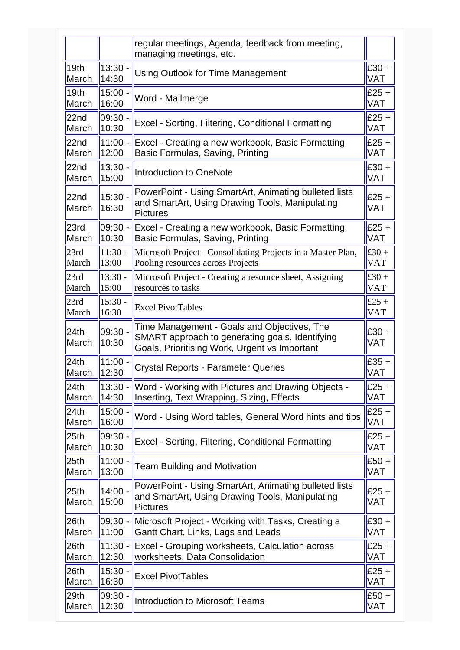|                           |                    | regular meetings, Agenda, feedback from meeting,<br>managing meetings, etc.                                                                     |                       |
|---------------------------|--------------------|-------------------------------------------------------------------------------------------------------------------------------------------------|-----------------------|
| 19 <sub>th</sub>          | 13:30              | <b>Using Outlook for Time Management</b>                                                                                                        | $£30 +$               |
| March                     | 14:30              |                                                                                                                                                 | <b>VAT</b>            |
| 19th                      | 15:00 -            | Word - Mailmerge                                                                                                                                | $E25 +$               |
| March                     | 16:00              |                                                                                                                                                 | <b>VAT</b>            |
| 22 <sub>nd</sub>          | 09:30.             | Excel - Sorting, Filtering, Conditional Formatting                                                                                              | $£25 +$               |
| March                     | 10:30              |                                                                                                                                                 | <b>VAT</b>            |
| 22 <sub>nd</sub>          | 11:00 -            | Excel - Creating a new workbook, Basic Formatting,                                                                                              | $£25 +$               |
| March                     | 12:00              | Basic Formulas, Saving, Printing                                                                                                                | <b>VAT</b>            |
| 22 <sub>nd</sub>          | $13:30 -$          | Introduction to OneNote                                                                                                                         | $£30 +$               |
| March                     | 15:00              |                                                                                                                                                 | <b>VAT</b>            |
| 22 <sub>nd</sub><br>March | 15:30 -<br>16:30   | PowerPoint - Using SmartArt, Animating bulleted lists<br>and SmartArt, Using Drawing Tools, Manipulating<br>Pictures                            | $E25 +$<br><b>VAT</b> |
| 23rd                      | $09:30 -$          | Excel - Creating a new workbook, Basic Formatting,                                                                                              | $£25 +$               |
| March                     | 10:30              | Basic Formulas, Saving, Printing                                                                                                                | <b>VAT</b>            |
| 23rd                      | $11:30 -$          | Microsoft Project - Consolidating Projects in a Master Plan,                                                                                    | £30 +                 |
| March                     | 13:00              | Pooling resources across Projects                                                                                                               | <b>VAT</b>            |
| 23rd                      | $13:30 -$          | Microsoft Project - Creating a resource sheet, Assigning                                                                                        | £30 +                 |
| March                     | 15:00              | resources to tasks                                                                                                                              | <b>VAT</b>            |
| 23rd                      | $15:30 -$          | <b>Excel PivotTables</b>                                                                                                                        | £25 +                 |
| March                     | 16:30              |                                                                                                                                                 | <b>VAT</b>            |
| 24th<br>March             | 09:30.<br>10:30    | Time Management - Goals and Objectives, The<br>SMART approach to generating goals, Identifying<br>Goals, Prioritising Work, Urgent vs Important | $£30 +$<br><b>VAT</b> |
| 24th                      | $11:00 -$          | <b>Crystal Reports - Parameter Queries</b>                                                                                                      | $£35 +$               |
| March                     | 12:30              |                                                                                                                                                 | <b>VAT</b>            |
| 24th                      | $13:30 -$          | Word - Working with Pictures and Drawing Objects -                                                                                              | $£25 +$               |
| March                     | 14:30              | Inserting, Text Wrapping, Sizing, Effects                                                                                                       | <b>VAT</b>            |
| 24th                      | $15:00 -$          | Word - Using Word tables, General Word hints and tips                                                                                           | $£25 +$               |
| March                     | 16:00              |                                                                                                                                                 | <b>VAT</b>            |
| 25 <sub>th</sub>          | 09:30 -            | Excel - Sorting, Filtering, Conditional Formatting                                                                                              | $£25 +$               |
| March                     | 10:30              |                                                                                                                                                 | VAT                   |
| 25 <sub>th</sub>          | $11:00 -$          | <b>Team Building and Motivation</b>                                                                                                             | $£50 +$               |
| March                     | 13:00              |                                                                                                                                                 | <b>VAT</b>            |
| 25 <sub>th</sub><br>March | $14:00 -$<br>15:00 | PowerPoint - Using SmartArt, Animating bulleted lists<br>and SmartArt, Using Drawing Tools, Manipulating<br><b>Pictures</b>                     | $£25 +$<br><b>VAT</b> |
| 26 <sub>th</sub>          | $09:30 -$          | Microsoft Project - Working with Tasks, Creating a                                                                                              | $£30 +$               |
| March                     | 11:00              | Gantt Chart, Links, Lags and Leads                                                                                                              | <b>VAT</b>            |
| 26 <sub>th</sub>          | $11:30 -$          | Excel - Grouping worksheets, Calculation across                                                                                                 | $£25 +$               |
| March                     | 12:30              | worksheets, Data Consolidation                                                                                                                  | <b>VAT</b>            |
| 26 <sub>th</sub>          | $15:30 -$          | <b>Excel PivotTables</b>                                                                                                                        | $£25 +$               |
| March                     | 16:30              |                                                                                                                                                 | VAT                   |
| 29 <sub>th</sub>          | 09:30.             | Introduction to Microsoft Teams                                                                                                                 | $£50 +$               |
| March                     | 12:30              |                                                                                                                                                 | <b>VAT</b>            |